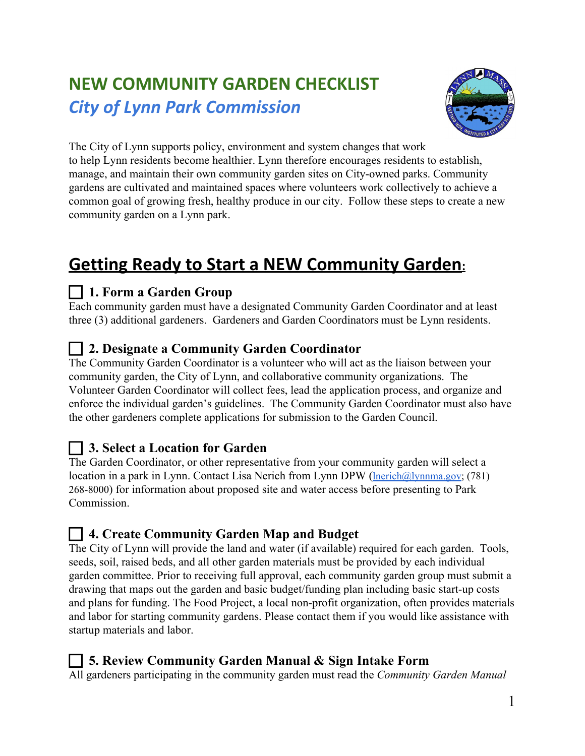# **NEW COMMUNITY GARDEN CHECKLIST** *City of Lynn Park Commission*



The City of Lynn supports policy, environment and system changes that work to help Lynn residents become healthier. Lynn therefore encourages residents to establish, manage, and maintain their own community garden sites on City-owned parks. Community gardens are cultivated and maintained spaces where volunteers work collectively to achieve a common goal of growing fresh, healthy produce in our city. Follow these steps to create a new community garden on a Lynn park.

# **Getting Ready to Start a NEW Community Garden:**

## **1. Form a Garden Group**

Each community garden must have a designated Community Garden Coordinator and at least three (3) additional gardeners. Gardeners and Garden Coordinators must be Lynn residents.

## **2. Designate a Community Garden Coordinator**

The Community Garden Coordinator is a volunteer who will act as the liaison between your community garden, the City of Lynn, and collaborative community organizations. The Volunteer Garden Coordinator will collect fees, lead the application process, and organize and enforce the individual garden's guidelines. The Community Garden Coordinator must also have the other gardeners complete applications for submission to the Garden Council.

## **3. Select a Location for Garden**

The Garden Coordinator, or other representative from your community garden will select a location in a park in Lynn. Contact Lisa Nerich from Lynn DPW ([lnerich@lynnma.gov](mailto:lnerich@lynnma.gov); (781) 268-8000) for information about proposed site and water access before presenting to Park Commission.

## **4. Create Community Garden Map and Budget**

The City of Lynn will provide the land and water (if available) required for each garden. Tools, seeds, soil, raised beds, and all other garden materials must be provided by each individual garden committee. Prior to receiving full approval, each community garden group must submit a drawing that maps out the garden and basic budget/funding plan including basic start-up costs and plans for funding. The Food Project, a local non-profit organization, often provides materials and labor for starting community gardens. Please contact them if you would like assistance with startup materials and labor.

### **5. Review Community Garden Manual & Sign Intake Form**

All gardeners participating in the community garden must read the *Community Garden Manual*